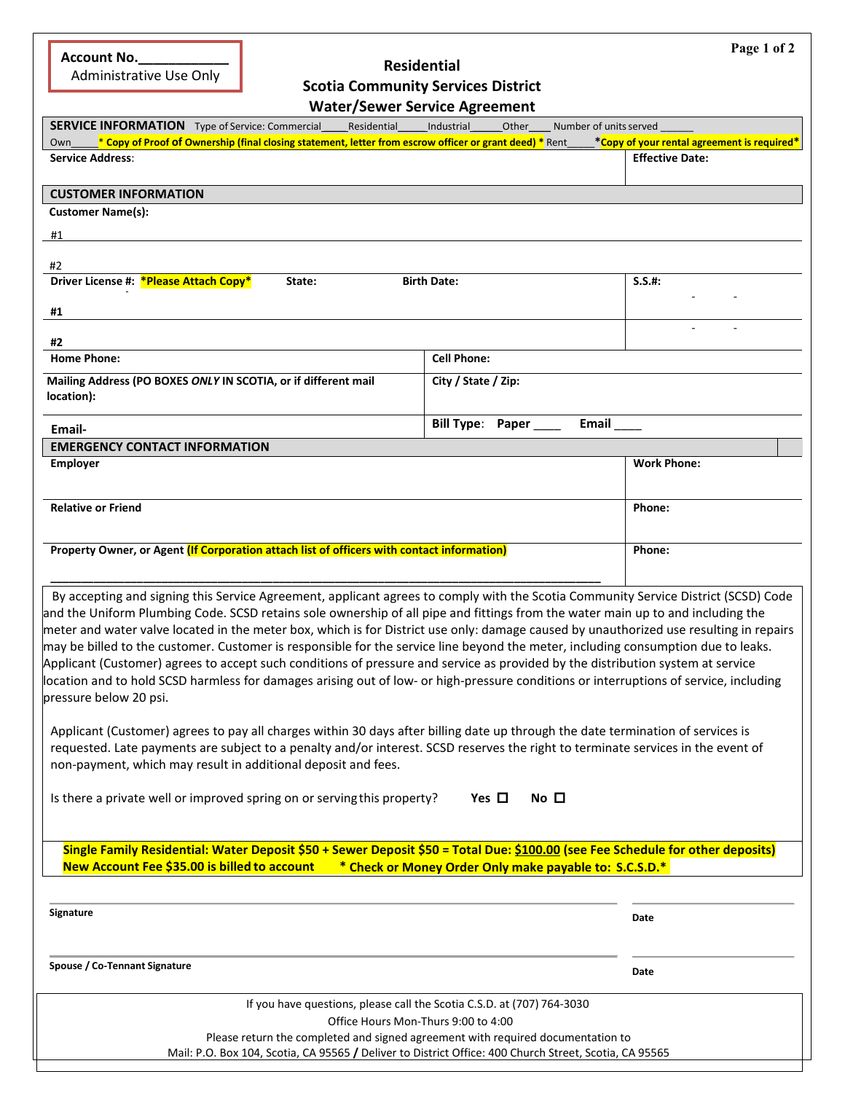| <b>Account No.</b> |  |
|--------------------|--|
|                    |  |
|                    |  |

Administrative Use Only

# **Residential Scotia Community Services District**

|                                                                                                                                                                                                                                                                                                                                                                                                                                                                                                                                                                                                                                                                                                                                                                                                                                                                                                                                                                                                                                                                                                                                                                                                                                                                                                                                                                                                                                                                 | <b>Water/Sewer Service Agreement</b>                                                                          |                                             |
|-----------------------------------------------------------------------------------------------------------------------------------------------------------------------------------------------------------------------------------------------------------------------------------------------------------------------------------------------------------------------------------------------------------------------------------------------------------------------------------------------------------------------------------------------------------------------------------------------------------------------------------------------------------------------------------------------------------------------------------------------------------------------------------------------------------------------------------------------------------------------------------------------------------------------------------------------------------------------------------------------------------------------------------------------------------------------------------------------------------------------------------------------------------------------------------------------------------------------------------------------------------------------------------------------------------------------------------------------------------------------------------------------------------------------------------------------------------------|---------------------------------------------------------------------------------------------------------------|---------------------------------------------|
| <b>SERVICE INFORMATION</b> Type of Service: Commercial<br>Residential                                                                                                                                                                                                                                                                                                                                                                                                                                                                                                                                                                                                                                                                                                                                                                                                                                                                                                                                                                                                                                                                                                                                                                                                                                                                                                                                                                                           | Number of units served<br>Industrial<br>Other                                                                 |                                             |
| * Copy of Proof of Ownership (final closing statement, letter from escrow officer or grant deed) * Rent<br>Own                                                                                                                                                                                                                                                                                                                                                                                                                                                                                                                                                                                                                                                                                                                                                                                                                                                                                                                                                                                                                                                                                                                                                                                                                                                                                                                                                  |                                                                                                               | *Copy of your rental agreement is required* |
| <b>Service Address:</b>                                                                                                                                                                                                                                                                                                                                                                                                                                                                                                                                                                                                                                                                                                                                                                                                                                                                                                                                                                                                                                                                                                                                                                                                                                                                                                                                                                                                                                         |                                                                                                               | <b>Effective Date:</b>                      |
| <b>CUSTOMER INFORMATION</b>                                                                                                                                                                                                                                                                                                                                                                                                                                                                                                                                                                                                                                                                                                                                                                                                                                                                                                                                                                                                                                                                                                                                                                                                                                                                                                                                                                                                                                     |                                                                                                               |                                             |
| <b>Customer Name(s):</b>                                                                                                                                                                                                                                                                                                                                                                                                                                                                                                                                                                                                                                                                                                                                                                                                                                                                                                                                                                                                                                                                                                                                                                                                                                                                                                                                                                                                                                        |                                                                                                               |                                             |
| #1                                                                                                                                                                                                                                                                                                                                                                                                                                                                                                                                                                                                                                                                                                                                                                                                                                                                                                                                                                                                                                                                                                                                                                                                                                                                                                                                                                                                                                                              |                                                                                                               |                                             |
|                                                                                                                                                                                                                                                                                                                                                                                                                                                                                                                                                                                                                                                                                                                                                                                                                                                                                                                                                                                                                                                                                                                                                                                                                                                                                                                                                                                                                                                                 |                                                                                                               |                                             |
| #2<br>Driver License #: * Please Attach Copy*<br>State:                                                                                                                                                                                                                                                                                                                                                                                                                                                                                                                                                                                                                                                                                                                                                                                                                                                                                                                                                                                                                                                                                                                                                                                                                                                                                                                                                                                                         | <b>Birth Date:</b>                                                                                            | $S.S.$ #:                                   |
|                                                                                                                                                                                                                                                                                                                                                                                                                                                                                                                                                                                                                                                                                                                                                                                                                                                                                                                                                                                                                                                                                                                                                                                                                                                                                                                                                                                                                                                                 |                                                                                                               |                                             |
| #1                                                                                                                                                                                                                                                                                                                                                                                                                                                                                                                                                                                                                                                                                                                                                                                                                                                                                                                                                                                                                                                                                                                                                                                                                                                                                                                                                                                                                                                              |                                                                                                               |                                             |
| #2                                                                                                                                                                                                                                                                                                                                                                                                                                                                                                                                                                                                                                                                                                                                                                                                                                                                                                                                                                                                                                                                                                                                                                                                                                                                                                                                                                                                                                                              |                                                                                                               |                                             |
| <b>Home Phone:</b>                                                                                                                                                                                                                                                                                                                                                                                                                                                                                                                                                                                                                                                                                                                                                                                                                                                                                                                                                                                                                                                                                                                                                                                                                                                                                                                                                                                                                                              | <b>Cell Phone:</b>                                                                                            |                                             |
| Mailing Address (PO BOXES ONLY IN SCOTIA, or if different mail                                                                                                                                                                                                                                                                                                                                                                                                                                                                                                                                                                                                                                                                                                                                                                                                                                                                                                                                                                                                                                                                                                                                                                                                                                                                                                                                                                                                  | City / State / Zip:                                                                                           |                                             |
| location):                                                                                                                                                                                                                                                                                                                                                                                                                                                                                                                                                                                                                                                                                                                                                                                                                                                                                                                                                                                                                                                                                                                                                                                                                                                                                                                                                                                                                                                      |                                                                                                               |                                             |
|                                                                                                                                                                                                                                                                                                                                                                                                                                                                                                                                                                                                                                                                                                                                                                                                                                                                                                                                                                                                                                                                                                                                                                                                                                                                                                                                                                                                                                                                 | Bill Type: Paper<br>Email                                                                                     |                                             |
| Email-<br><b>EMERGENCY CONTACT INFORMATION</b>                                                                                                                                                                                                                                                                                                                                                                                                                                                                                                                                                                                                                                                                                                                                                                                                                                                                                                                                                                                                                                                                                                                                                                                                                                                                                                                                                                                                                  |                                                                                                               |                                             |
| <b>Employer</b>                                                                                                                                                                                                                                                                                                                                                                                                                                                                                                                                                                                                                                                                                                                                                                                                                                                                                                                                                                                                                                                                                                                                                                                                                                                                                                                                                                                                                                                 |                                                                                                               | <b>Work Phone:</b>                          |
|                                                                                                                                                                                                                                                                                                                                                                                                                                                                                                                                                                                                                                                                                                                                                                                                                                                                                                                                                                                                                                                                                                                                                                                                                                                                                                                                                                                                                                                                 |                                                                                                               |                                             |
| <b>Relative or Friend</b>                                                                                                                                                                                                                                                                                                                                                                                                                                                                                                                                                                                                                                                                                                                                                                                                                                                                                                                                                                                                                                                                                                                                                                                                                                                                                                                                                                                                                                       |                                                                                                               | Phone:                                      |
|                                                                                                                                                                                                                                                                                                                                                                                                                                                                                                                                                                                                                                                                                                                                                                                                                                                                                                                                                                                                                                                                                                                                                                                                                                                                                                                                                                                                                                                                 |                                                                                                               |                                             |
| Property Owner, or Agent (If Corporation attach list of officers with contact information)                                                                                                                                                                                                                                                                                                                                                                                                                                                                                                                                                                                                                                                                                                                                                                                                                                                                                                                                                                                                                                                                                                                                                                                                                                                                                                                                                                      |                                                                                                               | Phone:                                      |
|                                                                                                                                                                                                                                                                                                                                                                                                                                                                                                                                                                                                                                                                                                                                                                                                                                                                                                                                                                                                                                                                                                                                                                                                                                                                                                                                                                                                                                                                 |                                                                                                               |                                             |
| By accepting and signing this Service Agreement, applicant agrees to comply with the Scotia Community Service District (SCSD) Code<br>and the Uniform Plumbing Code. SCSD retains sole ownership of all pipe and fittings from the water main up to and including the<br>meter and water valve located in the meter box, which is for District use only: damage caused by unauthorized use resulting in repairs<br>may be billed to the customer. Customer is responsible for the service line beyond the meter, including consumption due to leaks.<br>Applicant (Customer) agrees to accept such conditions of pressure and service as provided by the distribution system at service<br>location and to hold SCSD harmless for damages arising out of low- or high-pressure conditions or interruptions of service, including<br>pressure below 20 psi.<br>Applicant (Customer) agrees to pay all charges within 30 days after billing date up through the date termination of services is<br>requested. Late payments are subject to a penalty and/or interest. SCSD reserves the right to terminate services in the event of<br>non-payment, which may result in additional deposit and fees.<br>Is there a private well or improved spring on or serving this property?<br>Single Family Residential: Water Deposit \$50 + Sewer Deposit \$50 = Total Due: \$100.00 (see Fee Schedule for other deposits)<br>New Account Fee \$35.00 is billed to account | No <sub>l</sub><br>Yes $\Box$<br>* Check or Money Order Only make payable to: S.C.S.D.*                       |                                             |
| Signature                                                                                                                                                                                                                                                                                                                                                                                                                                                                                                                                                                                                                                                                                                                                                                                                                                                                                                                                                                                                                                                                                                                                                                                                                                                                                                                                                                                                                                                       |                                                                                                               | Date                                        |
| Spouse / Co-Tennant Signature                                                                                                                                                                                                                                                                                                                                                                                                                                                                                                                                                                                                                                                                                                                                                                                                                                                                                                                                                                                                                                                                                                                                                                                                                                                                                                                                                                                                                                   |                                                                                                               | Date                                        |
|                                                                                                                                                                                                                                                                                                                                                                                                                                                                                                                                                                                                                                                                                                                                                                                                                                                                                                                                                                                                                                                                                                                                                                                                                                                                                                                                                                                                                                                                 |                                                                                                               |                                             |
|                                                                                                                                                                                                                                                                                                                                                                                                                                                                                                                                                                                                                                                                                                                                                                                                                                                                                                                                                                                                                                                                                                                                                                                                                                                                                                                                                                                                                                                                 | If you have questions, please call the Scotia C.S.D. at (707) 764-3030<br>Office Hours Mon-Thurs 9:00 to 4:00 |                                             |
| Please return the completed and signed agreement with required documentation to                                                                                                                                                                                                                                                                                                                                                                                                                                                                                                                                                                                                                                                                                                                                                                                                                                                                                                                                                                                                                                                                                                                                                                                                                                                                                                                                                                                 |                                                                                                               |                                             |

Mail: P.O. Box 104, Scotia, CA 95565 **/** Deliver to District Office: 400 Church Street, Scotia, CA 95565